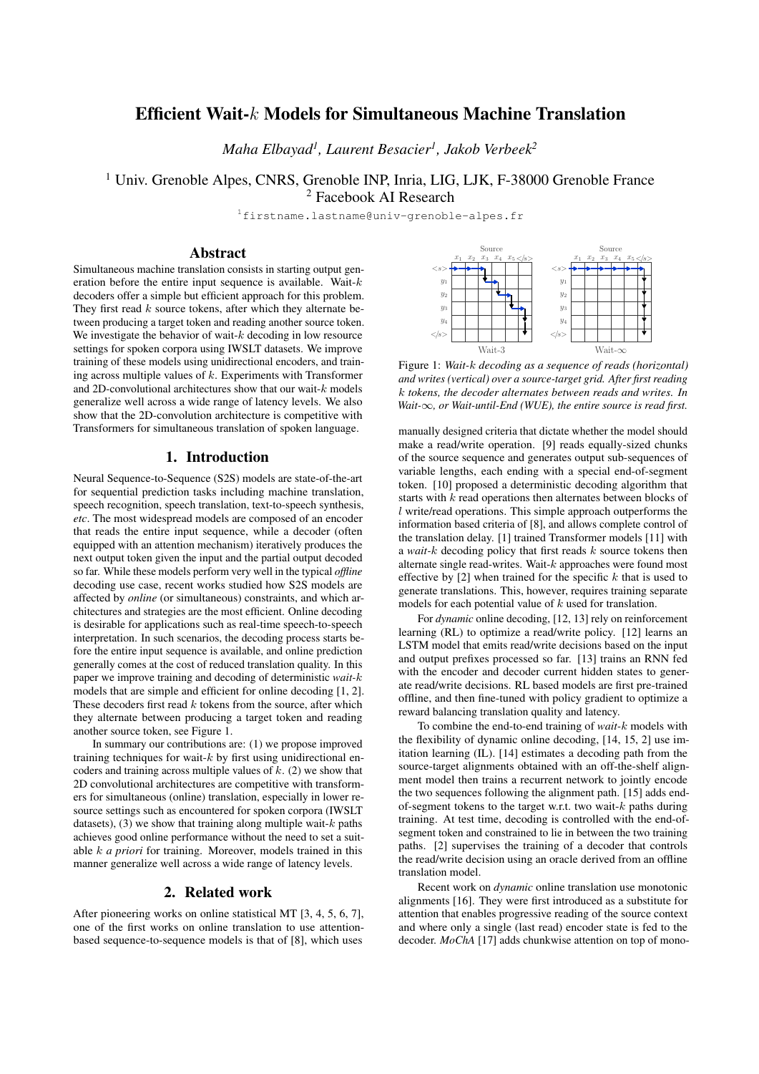# Efficient Wait-k Models for Simultaneous Machine Translation

*Maha Elbayad<sup>1</sup> , Laurent Besacier<sup>1</sup> , Jakob Verbeek<sup>2</sup>*

<sup>1</sup> Univ. Grenoble Alpes, CNRS, Grenoble INP, Inria, LIG, LJK, F-38000 Grenoble France

<sup>2</sup> Facebook AI Research

<sup>1</sup>firstname.lastname@univ-grenoble-alpes.fr

# Abstract

Simultaneous machine translation consists in starting output generation before the entire input sequence is available. Wait- $k$ decoders offer a simple but efficient approach for this problem. They first read  $k$  source tokens, after which they alternate between producing a target token and reading another source token. We investigate the behavior of wait- $k$  decoding in low resource settings for spoken corpora using IWSLT datasets. We improve training of these models using unidirectional encoders, and training across multiple values of  $k$ . Experiments with Transformer and 2D-convolutional architectures show that our wait-k models generalize well across a wide range of latency levels. We also show that the 2D-convolution architecture is competitive with Transformers for simultaneous translation of spoken language.

# 1. Introduction

Neural Sequence-to-Sequence (S2S) models are state-of-the-art for sequential prediction tasks including machine translation, speech recognition, speech translation, text-to-speech synthesis, *etc*. The most widespread models are composed of an encoder that reads the entire input sequence, while a decoder (often equipped with an attention mechanism) iteratively produces the next output token given the input and the partial output decoded so far. While these models perform very well in the typical *offline* decoding use case, recent works studied how S2S models are affected by *online* (or simultaneous) constraints, and which architectures and strategies are the most efficient. Online decoding is desirable for applications such as real-time speech-to-speech interpretation. In such scenarios, the decoding process starts before the entire input sequence is available, and online prediction generally comes at the cost of reduced translation quality. In this paper we improve training and decoding of deterministic *wait-*k models that are simple and efficient for online decoding [1, 2]. These decoders first read  $k$  tokens from the source, after which they alternate between producing a target token and reading another source token, see Figure 1.

In summary our contributions are: (1) we propose improved training techniques for wait- $k$  by first using unidirectional encoders and training across multiple values of  $k$ . (2) we show that 2D convolutional architectures are competitive with transformers for simultaneous (online) translation, especially in lower resource settings such as encountered for spoken corpora (IWSLT datasets), (3) we show that training along multiple wait- $k$  paths achieves good online performance without the need to set a suitable k *a priori* for training. Moreover, models trained in this manner generalize well across a wide range of latency levels.

### 2. Related work

After pioneering works on online statistical MT [3, 4, 5, 6, 7], one of the first works on online translation to use attentionbased sequence-to-sequence models is that of [8], which uses



Figure 1: *Wait-*k *decoding as a sequence of reads (horizontal) and writes (vertical) over a source-target grid. After first reading* k *tokens, the decoder alternates between reads and writes. In Wait-*∞*, or Wait-until-End (WUE), the entire source is read first.*

manually designed criteria that dictate whether the model should make a read/write operation. [9] reads equally-sized chunks of the source sequence and generates output sub-sequences of variable lengths, each ending with a special end-of-segment token. [10] proposed a deterministic decoding algorithm that starts with k read operations then alternates between blocks of l write/read operations. This simple approach outperforms the information based criteria of [8], and allows complete control of the translation delay. [1] trained Transformer models [11] with a *wait-*k decoding policy that first reads k source tokens then alternate single read-writes. Wait- $k$  approaches were found most effective by  $[2]$  when trained for the specific k that is used to generate translations. This, however, requires training separate models for each potential value of  $k$  used for translation.

For *dynamic* online decoding, [12, 13] rely on reinforcement learning (RL) to optimize a read/write policy. [12] learns an LSTM model that emits read/write decisions based on the input and output prefixes processed so far. [13] trains an RNN fed with the encoder and decoder current hidden states to generate read/write decisions. RL based models are first pre-trained offline, and then fine-tuned with policy gradient to optimize a reward balancing translation quality and latency.

To combine the end-to-end training of *wait-*k models with the flexibility of dynamic online decoding, [14, 15, 2] use imitation learning (IL). [14] estimates a decoding path from the source-target alignments obtained with an off-the-shelf alignment model then trains a recurrent network to jointly encode the two sequences following the alignment path. [15] adds endof-segment tokens to the target w.r.t. two wait- $k$  paths during training. At test time, decoding is controlled with the end-ofsegment token and constrained to lie in between the two training paths. [2] supervises the training of a decoder that controls the read/write decision using an oracle derived from an offline translation model.

Recent work on *dynamic* online translation use monotonic alignments [16]. They were first introduced as a substitute for attention that enables progressive reading of the source context and where only a single (last read) encoder state is fed to the decoder. *MoChA* [17] adds chunkwise attention on top of mono-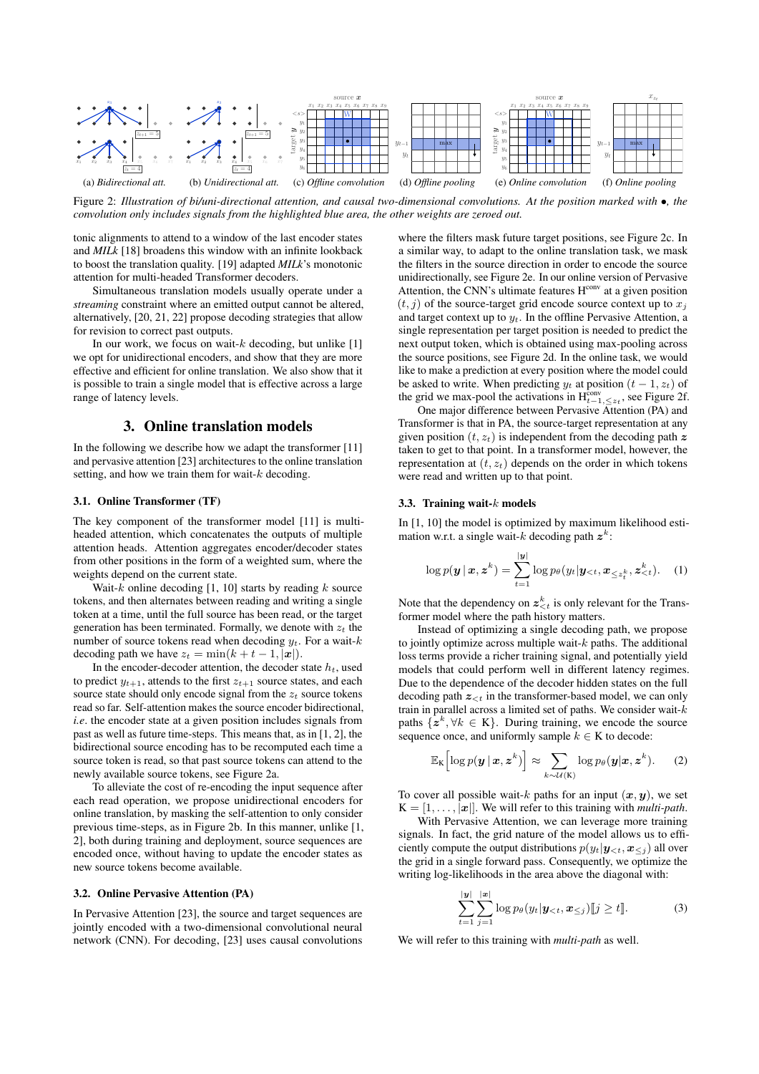

Figure 2: *Illustration of bi/uni-directional attention, and causal two-dimensional convolutions. At the position marked with* •*, the convolution only includes signals from the highlighted blue area, the other weights are zeroed out.*

tonic alignments to attend to a window of the last encoder states and *MILk* [18] broadens this window with an infinite lookback to boost the translation quality. [19] adapted *MILk*'s monotonic attention for multi-headed Transformer decoders.

Simultaneous translation models usually operate under a *streaming* constraint where an emitted output cannot be altered, alternatively, [20, 21, 22] propose decoding strategies that allow for revision to correct past outputs.

In our work, we focus on wait- $k$  decoding, but unlike [1] we opt for unidirectional encoders, and show that they are more effective and efficient for online translation. We also show that it is possible to train a single model that is effective across a large range of latency levels.

### 3. Online translation models

In the following we describe how we adapt the transformer [11] and pervasive attention [23] architectures to the online translation setting, and how we train them for wait- $k$  decoding.

### 3.1. Online Transformer (TF)

The key component of the transformer model [11] is multiheaded attention, which concatenates the outputs of multiple attention heads. Attention aggregates encoder/decoder states from other positions in the form of a weighted sum, where the weights depend on the current state.

Wait- $k$  online decoding [1, 10] starts by reading  $k$  source tokens, and then alternates between reading and writing a single token at a time, until the full source has been read, or the target generation has been terminated. Formally, we denote with  $z_t$  the number of source tokens read when decoding  $y_t$ . For a wait-k decoding path we have  $z_t = \min(k + t - 1, |\mathbf{x}|)$ .

In the encoder-decoder attention, the decoder state  $h_t$ , used to predict  $y_{t+1}$ , attends to the first  $z_{t+1}$  source states, and each source state should only encode signal from the  $z_t$  source tokens read so far. Self-attention makes the source encoder bidirectional, *i.e*. the encoder state at a given position includes signals from past as well as future time-steps. This means that, as in [1, 2], the bidirectional source encoding has to be recomputed each time a source token is read, so that past source tokens can attend to the newly available source tokens, see Figure 2a.

To alleviate the cost of re-encoding the input sequence after each read operation, we propose unidirectional encoders for online translation, by masking the self-attention to only consider previous time-steps, as in Figure 2b. In this manner, unlike [1, 2], both during training and deployment, source sequences are encoded once, without having to update the encoder states as new source tokens become available.

#### 3.2. Online Pervasive Attention (PA)

In Pervasive Attention [23], the source and target sequences are jointly encoded with a two-dimensional convolutional neural network (CNN). For decoding, [23] uses causal convolutions

where the filters mask future target positions, see Figure 2c. In a similar way, to adapt to the online translation task, we mask the filters in the source direction in order to encode the source unidirectionally, see Figure 2e. In our online version of Pervasive Attention, the CNN's ultimate features H<sup>conv</sup> at a given position  $(t, i)$  of the source-target grid encode source context up to  $x_i$ and target context up to  $y_t$ . In the offline Pervasive Attention, a single representation per target position is needed to predict the next output token, which is obtained using max-pooling across the source positions, see Figure 2d. In the online task, we would like to make a prediction at every position where the model could be asked to write. When predicting  $y_t$  at position  $(t - 1, z_t)$  of the grid we max-pool the activations in  $H_{t-1,\leq z_t}^{\text{conv}},$  see Figure 2f.

One major difference between Pervasive Attention (PA) and Transformer is that in PA, the source-target representation at any given position  $(t, z_t)$  is independent from the decoding path z taken to get to that point. In a transformer model, however, the representation at  $(t, z_t)$  depends on the order in which tokens were read and written up to that point.

#### 3.3. Training wait- $k$  models

In [1, 10] the model is optimized by maximum likelihood estimation w.r.t. a single wait-k decoding path  $z^k$ :

$$
\log p(\boldsymbol{y} \,|\, \boldsymbol{x}, \boldsymbol{z}^k) = \sum_{t=1}^{|y|} \log p_{\theta}(y_t | \boldsymbol{y}_{< t}, \boldsymbol{x}_{\leq z_t^k}, \boldsymbol{z}_{< t}^k). \tag{1}
$$

Note that the dependency on  $z_{\langle t}^k$  is only relevant for the Transformer model where the path history matters.

Instead of optimizing a single decoding path, we propose to jointly optimize across multiple wait- $k$  paths. The additional loss terms provide a richer training signal, and potentially yield models that could perform well in different latency regimes. Due to the dependence of the decoder hidden states on the full decoding path  $z_{\leq t}$  in the transformer-based model, we can only train in parallel across a limited set of paths. We consider wait- $k$ paths  $\{z^k, \forall k \in K\}$ . During training, we encode the source sequence once, and uniformly sample  $k \in K$  to decode:

$$
\mathbb{E}_{\mathbf{K}}\left[\log p(\boldsymbol{y} \,|\, \boldsymbol{x}, \boldsymbol{z}^k)\right] \approx \sum_{k \sim \mathcal{U}(\mathbf{K})} \log p_{\theta}(\boldsymbol{y}|\boldsymbol{x}, \boldsymbol{z}^k). \tag{2}
$$

To cover all possible wait-k paths for an input  $(x, y)$ , we set  $K = [1, \ldots, |\boldsymbol{x}|]$ . We will refer to this training with *multi-path*.

With Pervasive Attention, we can leverage more training signals. In fact, the grid nature of the model allows us to efficiently compute the output distributions  $p(y_t|\mathbf{y}_{\leq t}, \mathbf{x}_{\leq j})$  all over the grid in a single forward pass. Consequently, we optimize the writing log-likelihoods in the area above the diagonal with:

$$
\sum_{t=1}^{|y|} \sum_{j=1}^{|x|} \log p_{\theta}(y_t | \mathbf{y}_{< t}, \mathbf{x}_{\leq j}) [j \geq t]. \tag{3}
$$

We will refer to this training with *multi-path* as well.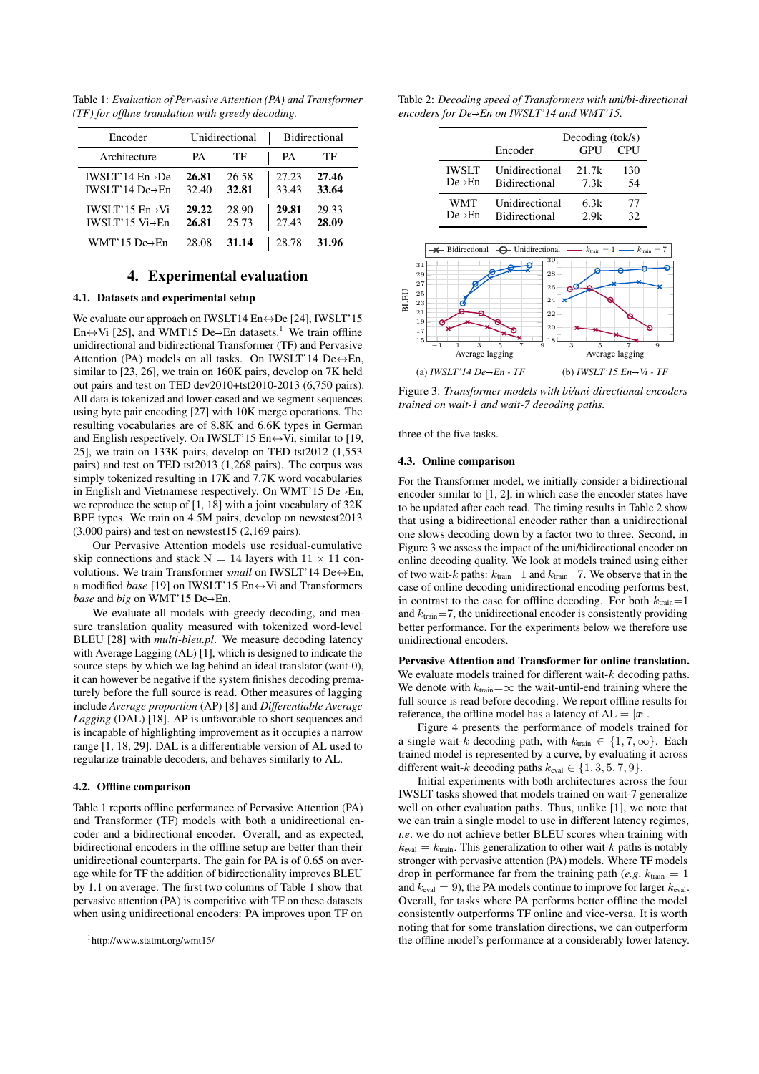| Encoder                                                      | Unidirectional |                | <b>Bidirectional</b> |                |
|--------------------------------------------------------------|----------------|----------------|----------------------|----------------|
| Architecture                                                 | PА             | ТF             | PА                   | TЕ             |
| IWSLT'14 $En \rightarrow De$<br>IWSLT'14 De $\rightarrow$ En | 26.81<br>32.40 | 26.58<br>32.81 | 27.23<br>33.43       | 27.46<br>33.64 |
| IWSLT'15 $En \rightarrow Vi$<br>IWSLT'15 $Vi \rightarrow En$ | 29.22<br>26.81 | 28.90<br>25.73 | 29.81<br>27.43       | 29.33<br>28.09 |
| $WMT'15$ De $\rightarrow$ En                                 | 28.08          | 31.14          | 28.78                | 31.96          |

Table 1: *Evaluation of Pervasive Attention (PA) and Transformer (TF) for offline translation with greedy decoding.*

# 4. Experimental evaluation

### 4.1. Datasets and experimental setup

We evaluate our approach on IWSLT14  $En \leftrightarrow De$  [24], IWSLT'15 En $\leftrightarrow$ Vi [25], and WMT15 De $\rightarrow$ En datasets.<sup>1</sup> We train offline unidirectional and bidirectional Transformer (TF) and Pervasive Attention (PA) models on all tasks. On IWSLT'14 De $\leftrightarrow$ En, similar to [23, 26], we train on 160K pairs, develop on 7K held out pairs and test on TED dev2010+tst2010-2013 (6,750 pairs). All data is tokenized and lower-cased and we segment sequences using byte pair encoding [27] with 10K merge operations. The resulting vocabularies are of 8.8K and 6.6K types in German and English respectively. On IWSLT'15 En $\leftrightarrow$ Vi, similar to [19, 25], we train on 133K pairs, develop on TED tst2012 (1,553 pairs) and test on TED tst2013 (1,268 pairs). The corpus was simply tokenized resulting in 17K and 7.7K word vocabularies in English and Vietnamese respectively. On WMT'15 De $\rightarrow$ En, we reproduce the setup of [1, 18] with a joint vocabulary of 32K BPE types. We train on 4.5M pairs, develop on newstest2013 (3,000 pairs) and test on newstest15 (2,169 pairs).

Our Pervasive Attention models use residual-cumulative skip connections and stack  $N = 14$  layers with  $11 \times 11$  convolutions. We train Transformer *small* on IWSLT'14 De↔En, a modified *base* [19] on IWSLT'15 En↔Vi and Transformers *base* and *big* on WMT'15 De  $\rightarrow$  En.

We evaluate all models with greedy decoding, and measure translation quality measured with tokenized word-level BLEU [28] with *multi-bleu.pl*. We measure decoding latency with Average Lagging (AL) [1], which is designed to indicate the source steps by which we lag behind an ideal translator (wait-0), it can however be negative if the system finishes decoding prematurely before the full source is read. Other measures of lagging include *Average proportion* (AP) [8] and *Differentiable Average Lagging* (DAL) [18]. AP is unfavorable to short sequences and is incapable of highlighting improvement as it occupies a narrow range [1, 18, 29]. DAL is a differentiable version of AL used to regularize trainable decoders, and behaves similarly to AL.

### 4.2. Offline comparison

Table 1 reports offline performance of Pervasive Attention (PA) and Transformer (TF) models with both a unidirectional encoder and a bidirectional encoder. Overall, and as expected, bidirectional encoders in the offline setup are better than their unidirectional counterparts. The gain for PA is of 0.65 on average while for TF the addition of bidirectionality improves BLEU by 1.1 on average. The first two columns of Table 1 show that pervasive attention (PA) is competitive with TF on these datasets when using unidirectional encoders: PA improves upon TF on Table 2: *Decoding speed of Transformers with uni/bi-directional encoders for De→En on IWSLT'14 and WMT'15.* 

|                     | Decoding $(t \cdot \cdot \cdot \cdot)$ |            |            |
|---------------------|----------------------------------------|------------|------------|
|                     | Encoder                                | <b>GPU</b> | <b>CPU</b> |
| <b>IWSLT</b>        | Unidirectional                         | 21.7k      | 130        |
| $De \rightarrow En$ | <b>Bidirectional</b>                   | 7.3k       | 54         |
| WMT                 | Unidirectional                         | 6.3k       | 77         |
| $De \rightarrow En$ | <b>Bidirectional</b>                   | 2.9k       | 32         |



Figure 3: *Transformer models with bi/uni-directional encoders trained on wait-1 and wait-7 decoding paths.*

three of the five tasks.

### 4.3. Online comparison

For the Transformer model, we initially consider a bidirectional encoder similar to [1, 2], in which case the encoder states have to be updated after each read. The timing results in Table 2 show that using a bidirectional encoder rather than a unidirectional one slows decoding down by a factor two to three. Second, in Figure 3 we assess the impact of the uni/bidirectional encoder on online decoding quality. We look at models trained using either of two wait-k paths:  $k_{\text{train}}=1$  and  $k_{\text{train}}=7$ . We observe that in the case of online decoding unidirectional encoding performs best, in contrast to the case for offline decoding. For both  $k_{\text{train}}=1$ and  $k_{\text{train}} = 7$ , the unidirectional encoder is consistently providing better performance. For the experiments below we therefore use unidirectional encoders.

Pervasive Attention and Transformer for online translation. We evaluate models trained for different wait- $k$  decoding paths. We denote with  $k_{\text{train}} = \infty$  the wait-until-end training where the full source is read before decoding. We report offline results for reference, the offline model has a latency of  $AL = |x|$ .

Figure 4 presents the performance of models trained for a single wait-k decoding path, with  $k_{\text{train}} \in \{1, 7, \infty\}$ . Each trained model is represented by a curve, by evaluating it across different wait-k decoding paths  $k_{eval} \in \{1, 3, 5, 7, 9\}.$ 

Initial experiments with both architectures across the four IWSLT tasks showed that models trained on wait-7 generalize well on other evaluation paths. Thus, unlike [1], we note that we can train a single model to use in different latency regimes, *i.e*. we do not achieve better BLEU scores when training with  $k_{\text{eval}} = k_{\text{train}}$ . This generalization to other wait-k paths is notably stronger with pervasive attention (PA) models. Where TF models drop in performance far from the training path (*e.g.*  $k_{\text{train}} = 1$ and  $k_{\text{eval}} = 9$ ), the PA models continue to improve for larger  $k_{\text{eval}}$ . Overall, for tasks where PA performs better offline the model consistently outperforms TF online and vice-versa. It is worth noting that for some translation directions, we can outperform the offline model's performance at a considerably lower latency.

<sup>1</sup>http://www.statmt.org/wmt15/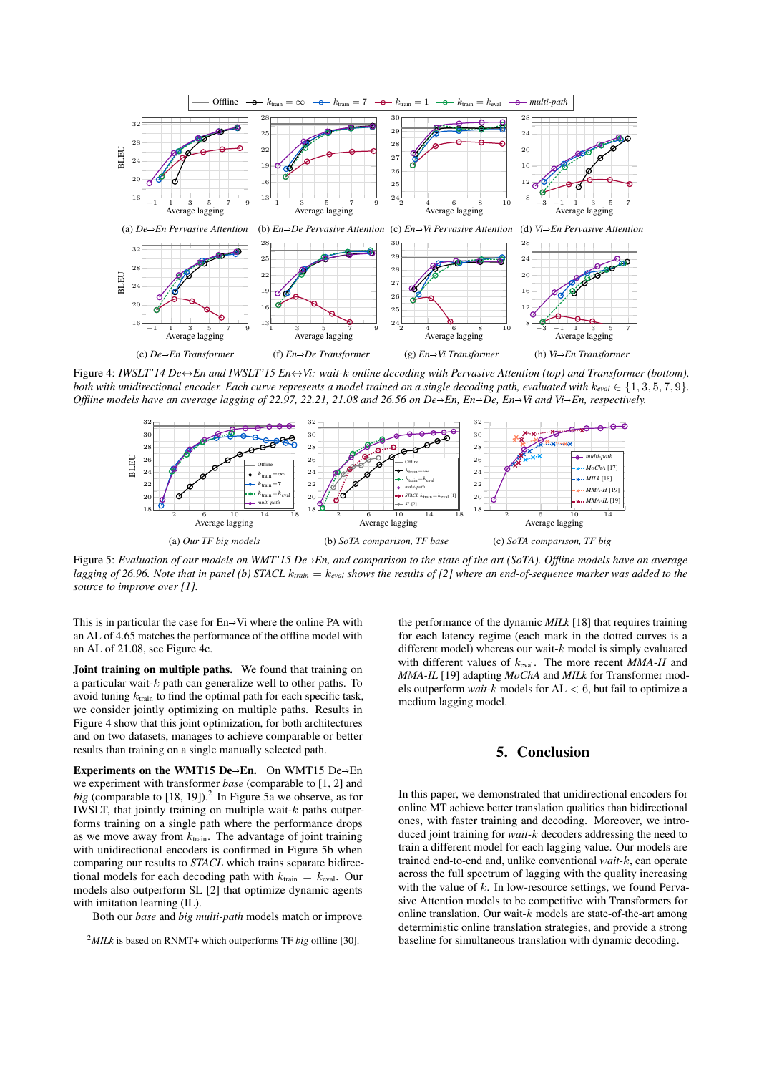

Figure 4: *IWSLT'14 De*↔*En and IWSLT'15 En*↔*Vi: wait-*k *online decoding with Pervasive Attention (top) and Transformer (bottom), both with unidirectional encoder. Each curve represents a model trained on a single decoding path, evaluated with*  $k_{eval} \in \{1, 3, 5, 7, 9\}$ . *Offline models have an average lagging of 22.97, 22.21, 21.08 and 26.56 on De* $\rightarrow$ *En, En* $\rightarrow$ *De, En* $\rightarrow$ *Vi and Vi* $\rightarrow$ *En, respectively.* 



Figure 5: *Evaluation of our models on WMT'15 De→En, and comparison to the state of the art (SoTA). Offline models have an average lagging of 26.96. Note that in panel (b) STACL* k*train* = k*eval shows the results of [2] where an end-of-sequence marker was added to the source to improve over [1].*

This is in particular the case for  $En \rightarrow Vi$  where the online PA with an AL of 4.65 matches the performance of the offline model with an AL of 21.08, see Figure 4c.

Joint training on multiple paths. We found that training on a particular wait- $k$  path can generalize well to other paths. To avoid tuning  $k_{\text{train}}$  to find the optimal path for each specific task, we consider jointly optimizing on multiple paths. Results in Figure 4 show that this joint optimization, for both architectures and on two datasets, manages to achieve comparable or better results than training on a single manually selected path.

Experiments on the WMT15 De $\rightarrow$ En. On WMT15 De $\rightarrow$ En we experiment with transformer *base* (comparable to [1, 2] and big (comparable to  $[18, 19]$ ).<sup>2</sup> In Figure 5a we observe, as for IWSLT, that jointly training on multiple wait- $k$  paths outperforms training on a single path where the performance drops as we move away from  $k_{\text{train}}$ . The advantage of joint training with unidirectional encoders is confirmed in Figure 5b when comparing our results to *STACL* which trains separate bidirectional models for each decoding path with  $k_{\text{train}} = k_{\text{eval}}$ . Our models also outperform SL [2] that optimize dynamic agents with imitation learning (IL).

the performance of the dynamic *MILk* [18] that requires training for each latency regime (each mark in the dotted curves is a different model) whereas our wait- $k$  model is simply evaluated with different values of keval. The more recent *MMA-H* and *MMA-IL* [19] adapting *MoChA* and *MILk* for Transformer models outperform *wait-*k models for AL < 6, but fail to optimize a medium lagging model.

# 5. Conclusion

In this paper, we demonstrated that unidirectional encoders for online MT achieve better translation qualities than bidirectional ones, with faster training and decoding. Moreover, we introduced joint training for *wait-*k decoders addressing the need to train a different model for each lagging value. Our models are trained end-to-end and, unlike conventional *wait-*k, can operate across the full spectrum of lagging with the quality increasing with the value of  $k$ . In low-resource settings, we found Pervasive Attention models to be competitive with Transformers for online translation. Our wait- $k$  models are state-of-the-art among deterministic online translation strategies, and provide a strong baseline for simultaneous translation with dynamic decoding.

Both our *base* and *big multi-path* models match or improve

 $^{2}$ *MILk* is based on RNMT+ which outperforms TF *big* offline [30].